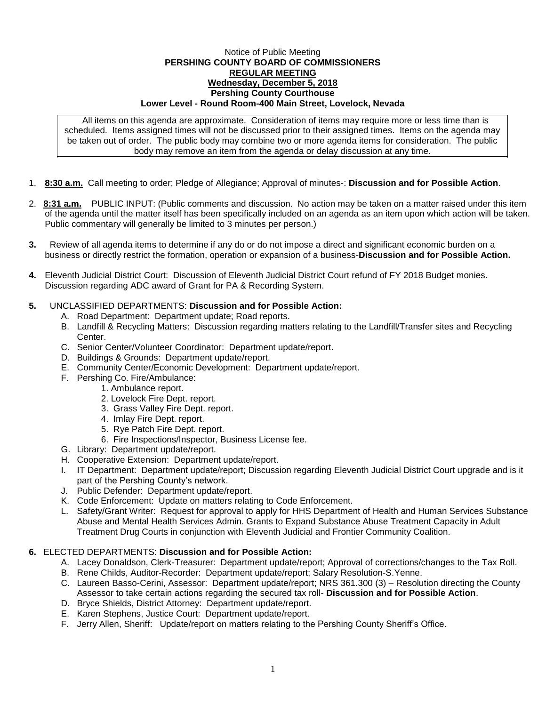## Notice of Public Meeting **PERSHING COUNTY BOARD OF COMMISSIONERS REGULAR MEETING Wednesday, December 5, 2018 Pershing County Courthouse Lower Level - Round Room-400 Main Street, Lovelock, Nevada**

All items on this agenda are approximate. Consideration of items may require more or less time than is scheduled. Items assigned times will not be discussed prior to their assigned times. Items on the agenda may be taken out of order. The public body may combine two or more agenda items for consideration. The public body may remove an item from the agenda or delay discussion at any time.

- 1. **8:30 a.m.** Call meeting to order; Pledge of Allegiance; Approval of minutes-: **Discussion and for Possible Action**.
- 2. **8:31 a.m.** PUBLIC INPUT: (Public comments and discussion. No action may be taken on a matter raised under this item of the agenda until the matter itself has been specifically included on an agenda as an item upon which action will be taken. Public commentary will generally be limited to 3 minutes per person.)
- **3.** Review of all agenda items to determine if any do or do not impose a direct and significant economic burden on a business or directly restrict the formation, operation or expansion of a business-**Discussion and for Possible Action.**
- **4.** Eleventh Judicial District Court: Discussion of Eleventh Judicial District Court refund of FY 2018 Budget monies. Discussion regarding ADC award of Grant for PA & Recording System.

## **5.** UNCLASSIFIED DEPARTMENTS: **Discussion and for Possible Action:**

- A. Road Department: Department update; Road reports.
- B. Landfill & Recycling Matters: Discussion regarding matters relating to the Landfill/Transfer sites and Recycling Center.
- C. Senior Center/Volunteer Coordinator: Department update/report.
- D. Buildings & Grounds: Department update/report.
- E. Community Center/Economic Development: Department update/report.
- F. Pershing Co. Fire/Ambulance:
	- 1. Ambulance report.
		- 2. Lovelock Fire Dept. report.
		- 3. Grass Valley Fire Dept. report.
		- 4. Imlay Fire Dept. report.
		- 5. Rye Patch Fire Dept. report.
	- 6. Fire Inspections/Inspector, Business License fee.
- G. Library: Department update/report.
- H. Cooperative Extension: Department update/report.
- I. IT Department: Department update/report; Discussion regarding Eleventh Judicial District Court upgrade and is it part of the Pershing County's network.
- J. Public Defender: Department update/report.
- K. Code Enforcement: Update on matters relating to Code Enforcement.
- L. Safety/Grant Writer: Request for approval to apply for HHS Department of Health and Human Services Substance Abuse and Mental Health Services Admin. Grants to Expand Substance Abuse Treatment Capacity in Adult Treatment Drug Courts in conjunction with Eleventh Judicial and Frontier Community Coalition.

## **6.** ELECTED DEPARTMENTS: **Discussion and for Possible Action:**

- A. Lacey Donaldson, Clerk-Treasurer: Department update/report; Approval of corrections/changes to the Tax Roll.
- B. Rene Childs, Auditor-Recorder: Department update/report; Salary Resolution-S.Yenne.
- C. Laureen Basso-Cerini, Assessor: Department update/report; NRS 361.300 (3) Resolution directing the County Assessor to take certain actions regarding the secured tax roll- **Discussion and for Possible Action**.
- D. Bryce Shields, District Attorney: Department update/report.
- E. Karen Stephens, Justice Court: Department update/report.
- F. Jerry Allen, Sheriff: Update/report on matters relating to the Pershing County Sheriff's Office.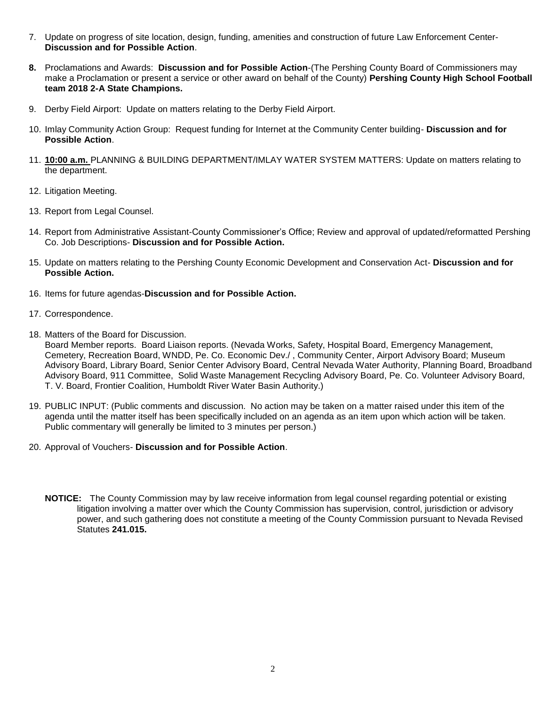- 7. Update on progress of site location, design, funding, amenities and construction of future Law Enforcement Center-**Discussion and for Possible Action**.
- **8.** Proclamations and Awards: **Discussion and for Possible Action**-(The Pershing County Board of Commissioners may make a Proclamation or present a service or other award on behalf of the County) **Pershing County High School Football team 2018 2-A State Champions.**
- 9. Derby Field Airport: Update on matters relating to the Derby Field Airport.
- 10. Imlay Community Action Group: Request funding for Internet at the Community Center building- **Discussion and for Possible Action**.
- 11. **10:00 a.m.** PLANNING & BUILDING DEPARTMENT/IMLAY WATER SYSTEM MATTERS: Update on matters relating to the department.
- 12. Litigation Meeting.
- 13. Report from Legal Counsel.
- 14. Report from Administrative Assistant-County Commissioner's Office; Review and approval of updated/reformatted Pershing Co. Job Descriptions- **Discussion and for Possible Action.**
- 15. Update on matters relating to the Pershing County Economic Development and Conservation Act- **Discussion and for Possible Action.**
- 16. Items for future agendas-**Discussion and for Possible Action.**
- 17. Correspondence.
- 18. Matters of the Board for Discussion.

Board Member reports. Board Liaison reports. (Nevada Works, Safety, Hospital Board, Emergency Management, Cemetery, Recreation Board, WNDD, Pe. Co. Economic Dev./ , Community Center, Airport Advisory Board; Museum Advisory Board, Library Board, Senior Center Advisory Board, Central Nevada Water Authority, Planning Board, Broadband Advisory Board, 911 Committee, Solid Waste Management Recycling Advisory Board, Pe. Co. Volunteer Advisory Board, T. V. Board, Frontier Coalition, Humboldt River Water Basin Authority.)

- 19. PUBLIC INPUT: (Public comments and discussion. No action may be taken on a matter raised under this item of the agenda until the matter itself has been specifically included on an agenda as an item upon which action will be taken. Public commentary will generally be limited to 3 minutes per person.)
- 20. Approval of Vouchers- **Discussion and for Possible Action**.
	- **NOTICE:** The County Commission may by law receive information from legal counsel regarding potential or existing litigation involving a matter over which the County Commission has supervision, control, jurisdiction or advisory power, and such gathering does not constitute a meeting of the County Commission pursuant to Nevada Revised Statutes **241.015.**